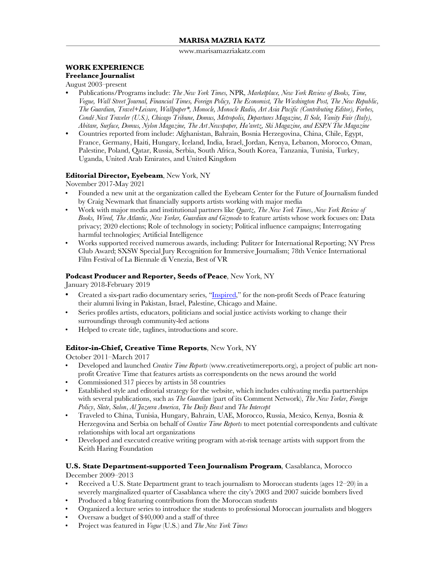www.marisamazriakatz.com

# **WORK EXPERIENCE**

## **Freelance Journalist**

August 2003–present

- **•** Publications/Programs include: *The New York Times,* NPR*, Marketplace, New York Review of Books, Time, Vogue, Wall Street Journal, Financial Times, Foreign Policy, The Economist, The Washington Post, The New Republic, The Guardian, Travel+Leisure, Wallpaper\*, Monocle, Monocle Radio, Art Asia Pacific (Contributing Editor), Forbes, Condé Nast Traveler (U.S.), Chicago Tribune, Domus, Metropolis, Departures Magazine, Il Sole, Vanity Fair (Italy), Abitare, Surface, Domus, Nylon Magazine, The Art Newspaper, Ha'aretz, Ski Magazine, and ESPN The Magazine*
- **•** Countries reported from include: Afghanistan, Bahrain, Bosnia Herzegovina, China, Chile, Egypt, France, Germany, Haiti, Hungary, Iceland, India, Israel, Jordan, Kenya, Lebanon, Morocco, Oman, Palestine, Poland, Qatar, Russia, Serbia, South Africa, South Korea, Tanzania, Tunisia, Turkey, Uganda, United Arab Emirates, and United Kingdom

#### **Editorial Director, Eyebeam**, New York, NY

November 2017-May 2021

- Founded a new unit at the organization called the Eyebeam Center for the Future of Journalism funded by Craig Newmark that financially supports artists working with major media
- Work with major media and institutional partners like *Quartz*, *The New York Times*, *New York Review of Books, Wired, The Atlantic, New Yorker, Guardian and Gizmodo* to feature artists whose work focuses on: Data privacy; 2020 elections; Role of technology in society; Political influence campaigns; Interrogating harmful technologies; Artificial Intelligence
- Works supported received numerous awards, including: Pulitzer for International Reporting; NY Press Club Award; SXSW Special Jury Recognition for Immersive Journalism; 78th Venice International Film Festival of La Biennale di Venezia, Best of VR

#### **Podcast Producer and Reporter, Seeds of Peace**, New York, NY

January 2018-February 2019

- Created a six-part radio documentary series, "Inspired," for the non-profit Seeds of Peace featuring their alumni living in Pakistan, Israel, Palestine, Chicago and Maine.
- Series profiles artists, educators, politicians and social justice activists working to change their surroundings through community-led actions
- Helped to create title, taglines, introductions and score.

#### **Editor-in-Chief, Creative Time Reports**, New York, NY

October 2011–March 2017

- Developed and launched *Creative Time Reports* (www.creativetimereports.org), a project of public art nonprofit Creative Time that features artists as correspondents on the news around the world
- Commissioned 317 pieces by artists in 58 countries
- Established style and editorial strategy for the website, which includes cultivating media partnerships with several publications, such as *The Guardian* (part of its Comment Network), *The New Yorker*, *Foreign Policy*, *Slate*, *Salon*, *Al Jazeera America*, *The Daily Beast* and *The Intercept*
- Traveled to China, Tunisia, Hungary, Bahrain, UAE, Morocco, Russia, Mexico, Kenya, Bosnia & Herzegovina and Serbia on behalf of *Creative Time Reports* to meet potential correspondents and cultivate relationships with local art organizations
- Developed and executed creative writing program with at-risk teenage artists with support from the Keith Haring Foundation

## **U.S. State Department-supported Teen Journalism Program**, Casablanca, Morocco

December 2009–2013

- Received a U.S. State Department grant to teach journalism to Moroccan students (ages 12–20) in a severely marginalized quarter of Casablanca where the city's 2003 and 2007 suicide bombers lived
- Produced a blog featuring contributions from the Moroccan students
- Organized a lecture series to introduce the students to professional Moroccan journalists and bloggers
- Oversaw a budget of \$40,000 and a staff of three
- Project was featured in *Vogue* (U.S.) and *The New York Times*